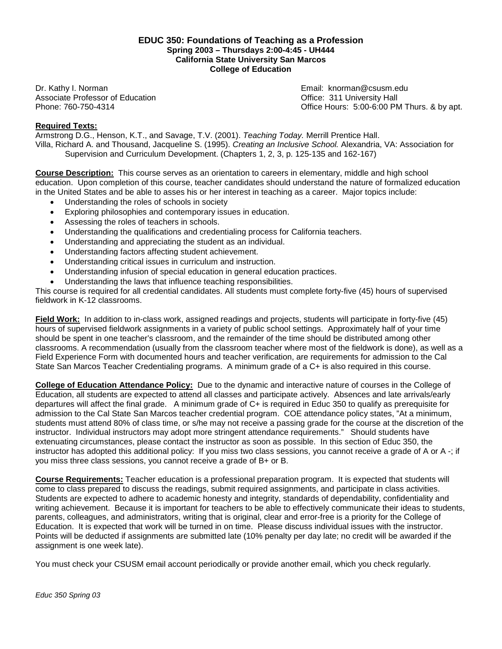#### **EDUC 350: Foundations of Teaching as a Profession Spring 2003 – Thursdays 2:00-4:45 - UH444 California State University San Marcos College of Education**

Dr. Kathy I. Norman Email: knorman@csusm.edu Associate Professor of Education **Contract Contract Contract Contract Contract Contract Contract Contract Contract Contract Contract Contract Contract Contract Contract Contract Contract Contract Contract Contract Contract** 

Phone: 760-750-4314 Office Hours: 5:00-6:00 PM Thurs. & by apt.

## **Required Texts:**

Armstrong D.G., Henson, K.T., and Savage, T.V. (2001). *Teaching Today.* Merrill Prentice Hall. Villa, Richard A. and Thousand, Jacqueline S. (1995). *Creating an Inclusive School.* Alexandria, VA: Association for Supervision and Curriculum Development. (Chapters 1, 2, 3, p. 125-135 and 162-167)

**Course Description:** This course serves as an orientation to careers in elementary, middle and high school education. Upon completion of this course, teacher candidates should understand the nature of formalized education in the United States and be able to asses his or her interest in teaching as a career. Major topics include:

- Understanding the roles of schools in society
- Exploring philosophies and contemporary issues in education.
- Assessing the roles of teachers in schools.
- Understanding the qualifications and credentialing process for California teachers.
- Understanding and appreciating the student as an individual.
- Understanding factors affecting student achievement.
- Understanding critical issues in curriculum and instruction.
- Understanding infusion of special education in general education practices.
- Understanding the laws that influence teaching responsibilities.

This course is required for all credential candidates. All students must complete forty-five (45) hours of supervised fieldwork in K-12 classrooms.

**Field Work:** In addition to in-class work, assigned readings and projects, students will participate in forty-five (45) hours of supervised fieldwork assignments in a variety of public school settings. Approximately half of your time should be spent in one teacher's classroom, and the remainder of the time should be distributed among other classrooms. A recommendation (usually from the classroom teacher where most of the fieldwork is done), as well as a Field Experience Form with documented hours and teacher verification, are requirements for admission to the Cal State San Marcos Teacher Credentialing programs. A minimum grade of a C+ is also required in this course.

**College of Education Attendance Policy:** Due to the dynamic and interactive nature of courses in the College of Education, all students are expected to attend all classes and participate actively. Absences and late arrivals/early departures will affect the final grade. A minimum grade of C+ is required in Educ 350 to qualify as prerequisite for admission to the Cal State San Marcos teacher credential program. COE attendance policy states, "At a minimum, students must attend 80% of class time, or s/he may not receive a passing grade for the course at the discretion of the instructor. Individual instructors may adopt more stringent attendance requirements." Should students have extenuating circumstances, please contact the instructor as soon as possible. In this section of Educ 350, the instructor has adopted this additional policy: If you miss two class sessions, you cannot receive a grade of A or A -; if you miss three class sessions, you cannot receive a grade of B+ or B.

**Course Requirements:** Teacher education is a professional preparation program. It is expected that students will come to class prepared to discuss the readings, submit required assignments, and participate in class activities. Students are expected to adhere to academic honesty and integrity, standards of dependability, confidentiality and writing achievement. Because it is important for teachers to be able to effectively communicate their ideas to students, parents, colleagues, and administrators, writing that is original, clear and error-free is a priority for the College of Education. It is expected that work will be turned in on time. Please discuss individual issues with the instructor. Points will be deducted if assignments are submitted late (10% penalty per day late; no credit will be awarded if the assignment is one week late).

You must check your CSUSM email account periodically or provide another email, which you check regularly.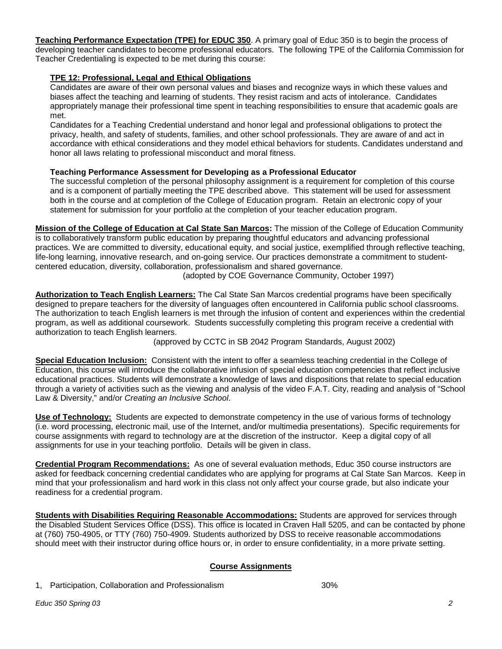**Teaching Performance Expectation (TPE) for EDUC 350**. A primary goal of Educ 350 is to begin the process of developing teacher candidates to become professional educators. The following TPE of the California Commission for Teacher Credentialing is expected to be met during this course:

## **TPE 12: Professional, Legal and Ethical Obligations**

Candidates are aware of their own personal values and biases and recognize ways in which these values and biases affect the teaching and learning of students. They resist racism and acts of intolerance. Candidates appropriately manage their professional time spent in teaching responsibilities to ensure that academic goals are met.

Candidates for a Teaching Credential understand and honor legal and professional obligations to protect the privacy, health, and safety of students, families, and other school professionals. They are aware of and act in accordance with ethical considerations and they model ethical behaviors for students. Candidates understand and honor all laws relating to professional misconduct and moral fitness.

## **Teaching Performance Assessment for Developing as a Professional Educator**

The successful completion of the personal philosophy assignment is a requirement for completion of this course and is a component of partially meeting the TPE described above. This statement will be used for assessment both in the course and at completion of the College of Education program. Retain an electronic copy of your statement for submission for your portfolio at the completion of your teacher education program.

**Mission of the College of Education at Cal State San Marcos:** The mission of the College of Education Community is to collaboratively transform public education by preparing thoughtful educators and advancing professional practices. We are committed to diversity, educational equity, and social justice, exemplified through reflective teaching, life-long learning, innovative research, and on-going service. Our practices demonstrate a commitment to studentcentered education, diversity, collaboration, professionalism and shared governance. (adopted by COE Governance Community, October 1997)

**Authorization to Teach English Learners:** The Cal State San Marcos credential programs have been specifically designed to prepare teachers for the diversity of languages often encountered in California public school classrooms. The authorization to teach English learners is met through the infusion of content and experiences within the credential program, as well as additional coursework. Students successfully completing this program receive a credential with authorization to teach English learners.

(approved by CCTC in SB 2042 Program Standards, August 2002)

**Special Education Inclusion:** Consistent with the intent to offer a seamless teaching credential in the College of Education, this course will introduce the collaborative infusion of special education competencies that reflect inclusive educational practices. Students will demonstrate a knowledge of laws and dispositions that relate to special education through a variety of activities such as the viewing and analysis of the video F.A.T. City, reading and analysis of "School Law & Diversity," and/or *Creating an Inclusive School*.

**Use of Technology:** Students are expected to demonstrate competency in the use of various forms of technology (i.e. word processing, electronic mail, use of the Internet, and/or multimedia presentations). Specific requirements for course assignments with regard to technology are at the discretion of the instructor. Keep a digital copy of all assignments for use in your teaching portfolio. Details will be given in class.

**Credential Program Recommendations:** As one of several evaluation methods, Educ 350 course instructors are asked for feedback concerning credential candidates who are applying for programs at Cal State San Marcos. Keep in mind that your professionalism and hard work in this class not only affect your course grade, but also indicate your readiness for a credential program.

**Students with Disabilities Requiring Reasonable Accommodations:** Students are approved for services through the Disabled Student Services Office (DSS). This office is located in Craven Hall 5205, and can be contacted by phone at (760) 750-4905, or TTY (760) 750-4909. Students authorized by DSS to receive reasonable accommodations should meet with their instructor during office hours or, in order to ensure confidentiality, in a more private setting.

# **Course Assignments**

1, Participation, Collaboration and Professionalism 30%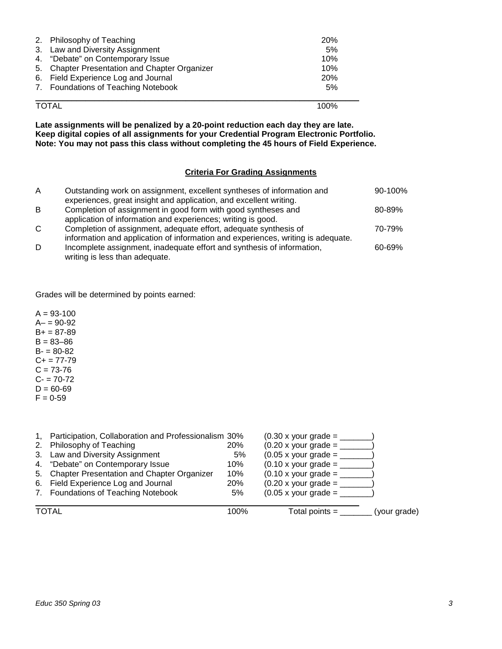| 2. Philosophy of Teaching<br>3. Law and Diversity Assignment<br>4. "Debate" on Contemporary Issue<br>5. Chapter Presentation and Chapter Organizer<br>6. Field Experience Log and Journal<br>7. Foundations of Teaching Notebook | <b>20%</b><br>5%<br>10%<br>10%<br><b>20%</b><br>5% |
|----------------------------------------------------------------------------------------------------------------------------------------------------------------------------------------------------------------------------------|----------------------------------------------------|
| <b>TOTAL</b>                                                                                                                                                                                                                     | 100%                                               |

**Late assignments will be penalized by a 20-point reduction each day they are late. Keep digital copies of all assignments for your Credential Program Electronic Portfolio. Note: You may not pass this class without completing the 45 hours of Field Experience.**

## **Criteria For Grading Assignments**

| A            | Outstanding work on assignment, excellent syntheses of information and<br>experiences, great insight and application, and excellent writing.         | 90-100% |
|--------------|------------------------------------------------------------------------------------------------------------------------------------------------------|---------|
| B            | Completion of assignment in good form with good syntheses and<br>application of information and experiences; writing is good.                        | 80-89%  |
| $\mathsf{C}$ | Completion of assignment, adequate effort, adequate synthesis of<br>information and application of information and experiences, writing is adequate. | 70-79%  |
| D            | Incomplete assignment, inadequate effort and synthesis of information,<br>writing is less than adequate.                                             | 60-69%  |

Grades will be determined by points earned:

 $A = 93 - 100$  $A - 90 - 92$  $B+ = 87-89$  $B = 83 - 86$  $B - 80 - 82$  $C+= 77-79$  $C = 73-76$  $C - 70-72$  $D = 60 - 69$  $F = 0.59$ 

| 7. Foundations of Teaching Notebook                     | 5%         | $(0.05 \times \text{your grade} =$ |  |
|---------------------------------------------------------|------------|------------------------------------|--|
| 6. Field Experience Log and Journal                     | <b>20%</b> | $(0.20 \times \text{your grade} =$ |  |
| 5. Chapter Presentation and Chapter Organizer           | 10%        | $(0.10 \times \text{your grade} =$ |  |
| 4. "Debate" on Contemporary Issue                       | 10%        | $(0.10 \times \text{your grade} =$ |  |
| 3. Law and Diversity Assignment                         | 5%         | $(0.05 \times \text{your grade} =$ |  |
| 2. Philosophy of Teaching                               | <b>20%</b> | $(0.20 \times \text{your grade} =$ |  |
| 1, Participation, Collaboration and Professionalism 30% |            | $(0.30 \times$ your grade =        |  |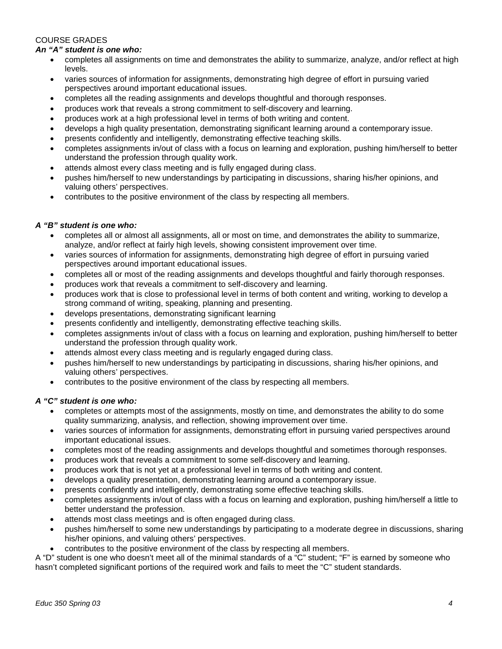# COURSE GRADES

#### *An "A" student is one who:*

- completes all assignments on time and demonstrates the ability to summarize, analyze, and/or reflect at high levels.
- varies sources of information for assignments, demonstrating high degree of effort in pursuing varied perspectives around important educational issues.
- completes all the reading assignments and develops thoughtful and thorough responses.
- produces work that reveals a strong commitment to self-discovery and learning.
- produces work at a high professional level in terms of both writing and content.
- develops a high quality presentation, demonstrating significant learning around a contemporary issue.
- presents confidently and intelligently, demonstrating effective teaching skills.
- completes assignments in/out of class with a focus on learning and exploration, pushing him/herself to better understand the profession through quality work.
- attends almost every class meeting and is fully engaged during class.
- pushes him/herself to new understandings by participating in discussions, sharing his/her opinions, and valuing others' perspectives.
- contributes to the positive environment of the class by respecting all members.

#### *A "B" student is one who:*

- completes all or almost all assignments, all or most on time, and demonstrates the ability to summarize, analyze, and/or reflect at fairly high levels, showing consistent improvement over time.
- varies sources of information for assignments, demonstrating high degree of effort in pursuing varied perspectives around important educational issues.
- completes all or most of the reading assignments and develops thoughtful and fairly thorough responses.
- produces work that reveals a commitment to self-discovery and learning.
- produces work that is close to professional level in terms of both content and writing, working to develop a strong command of writing, speaking, planning and presenting.
- develops presentations, demonstrating significant learning
- presents confidently and intelligently, demonstrating effective teaching skills.
- completes assignments in/out of class with a focus on learning and exploration, pushing him/herself to better understand the profession through quality work.
- attends almost every class meeting and is regularly engaged during class.
- pushes him/herself to new understandings by participating in discussions, sharing his/her opinions, and valuing others' perspectives.
- contributes to the positive environment of the class by respecting all members.

## *A "C" student is one who:*

- completes or attempts most of the assignments, mostly on time, and demonstrates the ability to do some quality summarizing, analysis, and reflection, showing improvement over time.
- varies sources of information for assignments, demonstrating effort in pursuing varied perspectives around important educational issues.
- completes most of the reading assignments and develops thoughtful and sometimes thorough responses.
- produces work that reveals a commitment to some self-discovery and learning.
- produces work that is not yet at a professional level in terms of both writing and content.
- develops a quality presentation, demonstrating learning around a contemporary issue.
- presents confidently and intelligently, demonstrating some effective teaching skills.
- completes assignments in/out of class with a focus on learning and exploration, pushing him/herself a little to better understand the profession.
- attends most class meetings and is often engaged during class.
- pushes him/herself to some new understandings by participating to a moderate degree in discussions, sharing his/her opinions, and valuing others' perspectives.
- contributes to the positive environment of the class by respecting all members.

A "D" student is one who doesn't meet all of the minimal standards of a "C" student; "F" is earned by someone who hasn't completed significant portions of the required work and fails to meet the "C" student standards.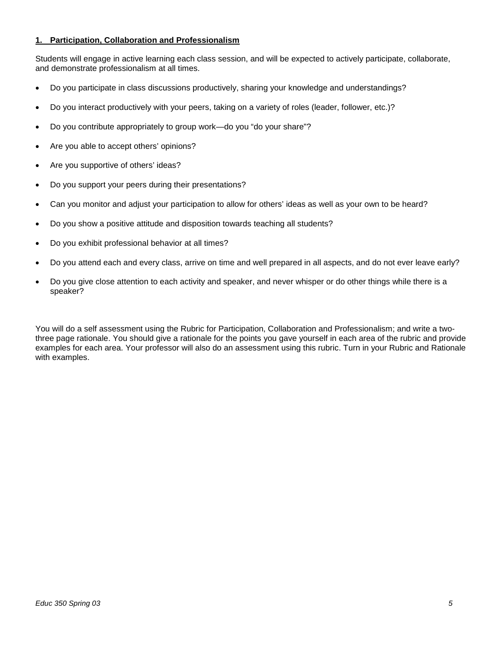## **1. Participation, Collaboration and Professionalism**

Students will engage in active learning each class session, and will be expected to actively participate, collaborate, and demonstrate professionalism at all times.

- Do you participate in class discussions productively, sharing your knowledge and understandings?
- Do you interact productively with your peers, taking on a variety of roles (leader, follower, etc.)?
- Do you contribute appropriately to group work—do you "do your share"?
- Are you able to accept others' opinions?
- Are you supportive of others' ideas?
- Do you support your peers during their presentations?
- Can you monitor and adjust your participation to allow for others' ideas as well as your own to be heard?
- Do you show a positive attitude and disposition towards teaching all students?
- Do you exhibit professional behavior at all times?
- Do you attend each and every class, arrive on time and well prepared in all aspects, and do not ever leave early?
- Do you give close attention to each activity and speaker, and never whisper or do other things while there is a speaker?

You will do a self assessment using the Rubric for Participation, Collaboration and Professionalism; and write a twothree page rationale. You should give a rationale for the points you gave yourself in each area of the rubric and provide examples for each area. Your professor will also do an assessment using this rubric. Turn in your Rubric and Rationale with examples.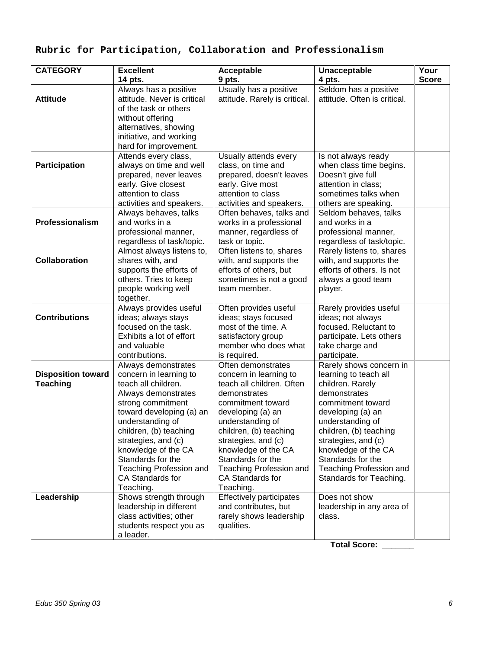# **Rubric for Participation, Collaboration and Professionalism**

| <b>CATEGORY</b>                                            | <b>Excellent</b>                                                                                                                                                                                                                                                                                                                 | Acceptable                                                                                                                                                                                                                                                                                                              | Unacceptable                                                                                                                                                                                                                                                                                          | Your         |
|------------------------------------------------------------|----------------------------------------------------------------------------------------------------------------------------------------------------------------------------------------------------------------------------------------------------------------------------------------------------------------------------------|-------------------------------------------------------------------------------------------------------------------------------------------------------------------------------------------------------------------------------------------------------------------------------------------------------------------------|-------------------------------------------------------------------------------------------------------------------------------------------------------------------------------------------------------------------------------------------------------------------------------------------------------|--------------|
|                                                            | 14 pts.                                                                                                                                                                                                                                                                                                                          | 9 pts.                                                                                                                                                                                                                                                                                                                  | 4 pts.                                                                                                                                                                                                                                                                                                | <b>Score</b> |
| <b>Attitude</b>                                            | Always has a positive<br>attitude. Never is critical<br>of the task or others                                                                                                                                                                                                                                                    | Usually has a positive<br>attitude. Rarely is critical.                                                                                                                                                                                                                                                                 | Seldom has a positive<br>attitude. Often is critical.                                                                                                                                                                                                                                                 |              |
|                                                            | without offering<br>alternatives, showing<br>initiative, and working<br>hard for improvement.                                                                                                                                                                                                                                    |                                                                                                                                                                                                                                                                                                                         |                                                                                                                                                                                                                                                                                                       |              |
| Participation                                              | Attends every class,<br>always on time and well<br>prepared, never leaves<br>early. Give closest<br>attention to class<br>activities and speakers.                                                                                                                                                                               | Usually attends every<br>class, on time and<br>prepared, doesn't leaves<br>early. Give most<br>attention to class<br>activities and speakers.                                                                                                                                                                           | Is not always ready<br>when class time begins.<br>Doesn't give full<br>attention in class;<br>sometimes talks when<br>others are speaking.                                                                                                                                                            |              |
| Professionalism                                            | Always behaves, talks<br>and works in a<br>professional manner,<br>regardless of task/topic.                                                                                                                                                                                                                                     | Often behaves, talks and<br>works in a professional<br>manner, regardless of<br>task or topic.                                                                                                                                                                                                                          | Seldom behaves, talks<br>and works in a<br>professional manner,<br>regardless of task/topic.                                                                                                                                                                                                          |              |
| Collaboration                                              | Almost always listens to,<br>shares with, and<br>supports the efforts of<br>others. Tries to keep<br>people working well<br>together.                                                                                                                                                                                            | Often listens to, shares<br>with, and supports the<br>efforts of others, but<br>sometimes is not a good<br>team member.                                                                                                                                                                                                 | Rarely listens to, shares<br>with, and supports the<br>efforts of others. Is not<br>always a good team<br>player.                                                                                                                                                                                     |              |
| <b>Contributions</b>                                       | Always provides useful<br>ideas; always stays<br>focused on the task.<br>Exhibits a lot of effort<br>and valuable<br>contributions.                                                                                                                                                                                              | Often provides useful<br>ideas; stays focused<br>most of the time. A<br>satisfactory group<br>member who does what<br>is required.                                                                                                                                                                                      | Rarely provides useful<br>ideas; not always<br>focused. Reluctant to<br>participate. Lets others<br>take charge and<br>participate.                                                                                                                                                                   |              |
| <b>Disposition toward</b><br><b>Teaching</b><br>Leadership | Always demonstrates<br>concern in learning to<br>teach all children.<br>Always demonstrates<br>strong commitment<br>toward developing (a) an<br>understanding of<br>children, (b) teaching<br>strategies, and (c)<br>knowledge of the CA<br>Standards for the<br><b>Teaching Profession and</b><br>CA Standards for<br>Teaching. | Often demonstrates<br>concern in learning to<br>teach all children. Often<br>demonstrates<br>commitment toward<br>developing (a) an<br>understanding of<br>children, (b) teaching<br>strategies, and (c)<br>knowledge of the CA<br>Standards for the<br><b>Teaching Profession and</b><br>CA Standards for<br>Teaching. | Rarely shows concern in<br>learning to teach all<br>children. Rarely<br>demonstrates<br>commitment toward<br>developing (a) an<br>understanding of<br>children, (b) teaching<br>strategies, and (c)<br>knowledge of the CA<br>Standards for the<br>Teaching Profession and<br>Standards for Teaching. |              |
|                                                            | Shows strength through<br>leadership in different<br>class activities; other<br>students respect you as<br>a leader.                                                                                                                                                                                                             | <b>Effectively participates</b><br>and contributes, but<br>rarely shows leadership<br>qualities.                                                                                                                                                                                                                        | Does not show<br>leadership in any area of<br>class.                                                                                                                                                                                                                                                  |              |

**Total Score: \_\_\_\_\_\_\_**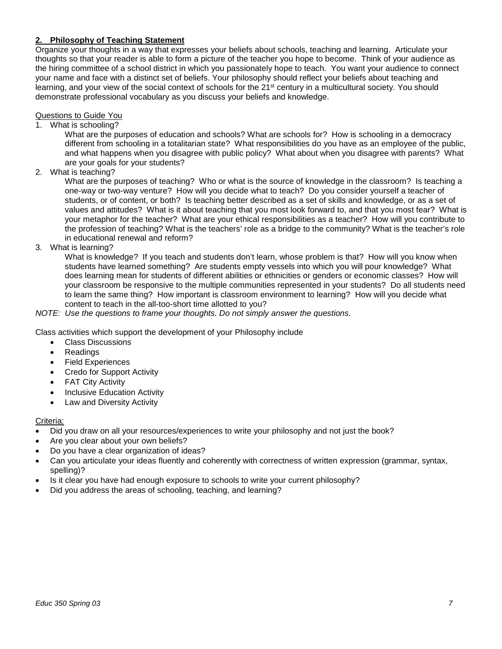## **2. Philosophy of Teaching Statement**

Organize your thoughts in a way that expresses your beliefs about schools, teaching and learning. Articulate your thoughts so that your reader is able to form a picture of the teacher you hope to become. Think of your audience as the hiring committee of a school district in which you passionately hope to teach. You want your audience to connect your name and face with a distinct set of beliefs. Your philosophy should reflect your beliefs about teaching and learning, and your view of the social context of schools for the 21<sup>st</sup> century in a multicultural society. You should demonstrate professional vocabulary as you discuss your beliefs and knowledge.

## Questions to Guide You

1. What is schooling?

What are the purposes of education and schools? What are schools for? How is schooling in a democracy different from schooling in a totalitarian state? What responsibilities do you have as an employee of the public, and what happens when you disagree with public policy? What about when you disagree with parents? What are your goals for your students?

2. What is teaching?

What are the purposes of teaching? Who or what is the source of knowledge in the classroom? Is teaching a one-way or two-way venture? How will you decide what to teach? Do you consider yourself a teacher of students, or of content, or both? Is teaching better described as a set of skills and knowledge, or as a set of values and attitudes? What is it about teaching that you most look forward to, and that you most fear? What is your metaphor for the teacher? What are your ethical responsibilities as a teacher? How will you contribute to the profession of teaching? What is the teachers' role as a bridge to the community? What is the teacher's role in educational renewal and reform?

3. What is learning?

What is knowledge? If you teach and students don't learn, whose problem is that? How will you know when students have learned something? Are students empty vessels into which you will pour knowledge? What does learning mean for students of different abilities or ethnicities or genders or economic classes? How will your classroom be responsive to the multiple communities represented in your students? Do all students need to learn the same thing? How important is classroom environment to learning? How will you decide what content to teach in the all-too-short time allotted to you?

*NOTE: Use the questions to frame your thoughts. Do not simply answer the questions.*

Class activities which support the development of your Philosophy include

- Class Discussions
- **Readings**
- Field Experiences
- Credo for Support Activity
- FAT City Activity
- Inclusive Education Activity
- Law and Diversity Activity

#### Criteria:

- Did you draw on all your resources/experiences to write your philosophy and not just the book?
- Are you clear about your own beliefs?
- Do you have a clear organization of ideas?
- Can you articulate your ideas fluently and coherently with correctness of written expression (grammar, syntax, spelling)?
- Is it clear you have had enough exposure to schools to write your current philosophy?
- Did you address the areas of schooling, teaching, and learning?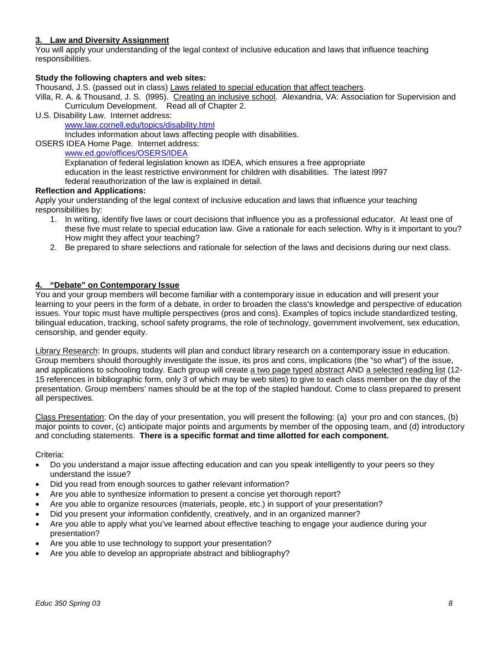## **3. Law and Diversity Assignment**

You will apply your understanding of the legal context of inclusive education and laws that influence teaching responsibilities.

#### **Study the following chapters and web sites:**

Thousand, J.S. (passed out in class) Laws related to special education that affect teachers.

Villa, R. A. & Thousand, J. S. (l995). Creating an inclusive school. Alexandria, VA: Association for Supervision and Curriculum Development. Read all of Chapter 2.

U.S. Disability Law. Internet address:

www.law.cornell.edu/topics/disability.html

Includes information about laws affecting people with disabilities.

OSERS IDEA Home Page. Internet address:

## www.ed.gov/offices/OSERS/IDEA

Explanation of federal legislation known as IDEA, which ensures a free appropriate education in the least restrictive environment for children with disabilities. The latest l997 federal reauthorization of the law is explained in detail.

#### **Reflection and Applications:**

Apply your understanding of the legal context of inclusive education and laws that influence your teaching responsibilities by:

- 1. In writing, identify five laws or court decisions that influence you as a professional educator. At least one of these five must relate to special education law. Give a rationale for each selection. Why is it important to you? How might they affect your teaching?
- 2. Be prepared to share selections and rationale for selection of the laws and decisions during our next class.

#### **4. "Debate" on Contemporary Issue**

You and your group members will become familiar with a contemporary issue in education and will present your learning to your peers in the form of a debate, in order to broaden the class's knowledge and perspective of education issues. Your topic must have multiple perspectives (pros and cons). Examples of topics include standardized testing, bilingual education, tracking, school safety programs, the role of technology, government involvement, sex education, censorship, and gender equity.

Library Research: In groups, students will plan and conduct library research on a contemporary issue in education. Group members should thoroughly investigate the issue, its pros and cons, implications (the "so what") of the issue, and applications to schooling today. Each group will create a two page typed abstract AND a selected reading list (12- 15 references in bibliographic form, only 3 of which may be web sites) to give to each class member on the day of the presentation. Group members' names should be at the top of the stapled handout. Come to class prepared to present all perspectives.

Class Presentation: On the day of your presentation, you will present the following: (a) your pro and con stances, (b) major points to cover, (c) anticipate major points and arguments by member of the opposing team, and (d) introductory and concluding statements. **There is a specific format and time allotted for each component.**

Criteria:

- Do you understand a major issue affecting education and can you speak intelligently to your peers so they understand the issue?
- Did you read from enough sources to gather relevant information?
- Are you able to synthesize information to present a concise yet thorough report?
- Are you able to organize resources (materials, people, etc.) in support of your presentation?
- Did you present your information confidently, creatively, and in an organized manner?
- Are you able to apply what you've learned about effective teaching to engage your audience during your presentation?
- Are you able to use technology to support your presentation?
- Are you able to develop an appropriate abstract and bibliography?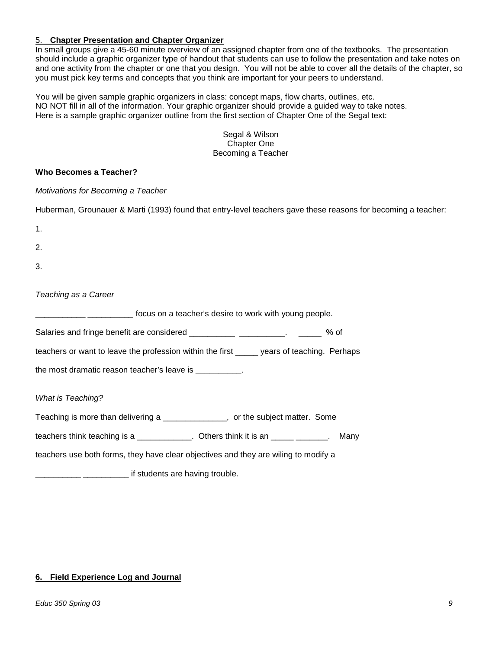## 5. **Chapter Presentation and Chapter Organizer**

In small groups give a 45-60 minute overview of an assigned chapter from one of the textbooks. The presentation should include a graphic organizer type of handout that students can use to follow the presentation and take notes on and one activity from the chapter or one that you design. You will not be able to cover all the details of the chapter, so you must pick key terms and concepts that you think are important for your peers to understand.

You will be given sample graphic organizers in class: concept maps, flow charts, outlines, etc. NO NOT fill in all of the information. Your graphic organizer should provide a guided way to take notes. Here is a sample graphic organizer outline from the first section of Chapter One of the Segal text:

> Segal & Wilson Chapter One Becoming a Teacher

#### **Who Becomes a Teacher?**

*Motivations for Becoming a Teacher*

|  |  |  |  | Huberman, Grounauer & Marti (1993) found that entry-level teachers gave these reasons for becoming a teacher: |
|--|--|--|--|---------------------------------------------------------------------------------------------------------------|
|--|--|--|--|---------------------------------------------------------------------------------------------------------------|

- 1.
- 
- 2.
- 3.

#### *Teaching as a Career*

\_\_\_\_\_\_\_\_\_\_\_ \_\_\_\_\_\_\_\_\_\_ focus on a teacher's desire to work with young people.

Salaries and fringe benefit are considered \_\_\_\_\_\_\_\_\_\_\_\_\_\_\_\_\_\_\_\_\_\_. \_\_\_\_\_\_\_ % of

teachers or want to leave the profession within the first \_\_\_\_\_ years of teaching. Perhaps

the most dramatic reason teacher's leave is \_\_\_\_\_\_\_\_\_.

## *What is Teaching?*

Teaching is more than delivering a \_\_\_\_\_\_\_\_\_\_\_\_\_\_, or the subject matter. Some

teachers think teaching is a \_\_\_\_\_\_\_\_\_\_\_\_. Others think it is an \_\_\_\_\_\_\_\_\_\_\_\_. Many

teachers use both forms, they have clear objectives and they are wiling to modify a

**\_\_\_\_\_** \_\_\_\_\_\_\_\_\_\_\_\_\_\_\_ if students are having trouble.

## **6. Field Experience Log and Journal**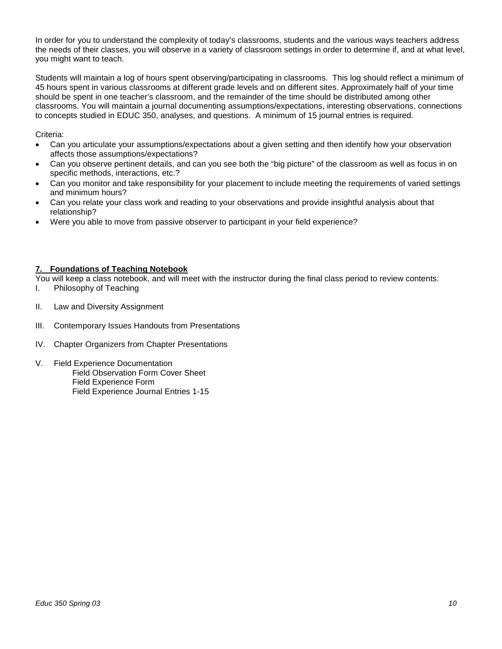In order for you to understand the complexity of today's classrooms, students and the various ways teachers address the needs of their classes, you will observe in a variety of classroom settings in order to determine if, and at what level, you might want to teach.

Students will maintain a log of hours spent observing/participating in classrooms. This log should reflect a minimum of 45 hours spent in various classrooms at different grade levels and on different sites. Approximately half of your time should be spent in one teacher's classroom, and the remainder of the time should be distributed among other classrooms. You will maintain a journal documenting assumptions/expectations, interesting observations, connections to concepts studied in EDUC 350, analyses, and questions. A minimum of 15 journal entries is required.

Criteria:

- Can you articulate your assumptions/expectations about a given setting and then identify how your observation affects those assumptions/expectations?
- Can you observe pertinent details, and can you see both the "big picture" of the classroom as well as focus in on specific methods, interactions, etc.?
- Can you monitor and take responsibility for your placement to include meeting the requirements of varied settings and minimum hours?
- Can you relate your class work and reading to your observations and provide insightful analysis about that relationship?
- Were you able to move from passive observer to participant in your field experience?

#### **7. Foundations of Teaching Notebook**

You will keep a class notebook, and will meet with the instructor during the final class period to review contents:<br>I. Philosophy of Teaching

- Philosophy of Teaching
- II. Law and Diversity Assignment
- III. Contemporary Issues Handouts from Presentations
- IV. Chapter Organizers from Chapter Presentations
- V. Field Experience Documentation Field Observation Form Cover Sheet Field Experience Form Field Experience Journal Entries 1-15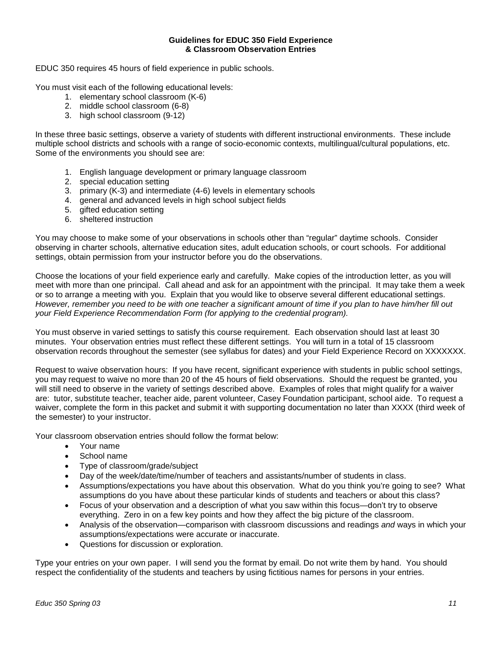#### **Guidelines for EDUC 350 Field Experience & Classroom Observation Entries**

EDUC 350 requires 45 hours of field experience in public schools.

You must visit each of the following educational levels:

- 1. elementary school classroom (K-6)
- 2. middle school classroom (6-8)
- 3. high school classroom (9-12)

In these three basic settings, observe a variety of students with different instructional environments. These include multiple school districts and schools with a range of socio-economic contexts, multilingual/cultural populations, etc. Some of the environments you should see are:

- 1. English language development or primary language classroom
- 2. special education setting
- 3. primary (K-3) and intermediate (4-6) levels in elementary schools
- 4. general and advanced levels in high school subject fields
- 5. gifted education setting
- 6. sheltered instruction

You may choose to make some of your observations in schools other than "regular" daytime schools. Consider observing in charter schools, alternative education sites, adult education schools, or court schools. For additional settings, obtain permission from your instructor before you do the observations.

Choose the locations of your field experience early and carefully. Make copies of the introduction letter, as you will meet with more than one principal. Call ahead and ask for an appointment with the principal. It may take them a week or so to arrange a meeting with you. Explain that you would like to observe several different educational settings. *However, remember you need to be with one teacher a significant amount of time if you plan to have him/her fill out your Field Experience Recommendation Form (for applying to the credential program).* 

You must observe in varied settings to satisfy this course requirement. Each observation should last at least 30 minutes. Your observation entries must reflect these different settings. You will turn in a total of 15 classroom observation records throughout the semester (see syllabus for dates) and your Field Experience Record on XXXXXXX.

Request to waive observation hours: If you have recent, significant experience with students in public school settings, you may request to waive no more than 20 of the 45 hours of field observations. Should the request be granted, you will still need to observe in the variety of settings described above. Examples of roles that might qualify for a waiver are: tutor, substitute teacher, teacher aide, parent volunteer, Casey Foundation participant, school aide. To request a waiver, complete the form in this packet and submit it with supporting documentation no later than XXXX (third week of the semester) to your instructor.

Your classroom observation entries should follow the format below:

- Your name
- School name
- Type of classroom/grade/subject
- Day of the week/date/time/number of teachers and assistants/number of students in class.
- Assumptions/expectations you have about this observation. What do you think you're going to see? What assumptions do you have about these particular kinds of students and teachers or about this class?
- Focus of your observation and a description of what you saw within this focus—don't try to observe everything. Zero in on a few key points and how they affect the big picture of the classroom.
- Analysis of the observation—comparison with classroom discussions and readings *and* ways in which your assumptions/expectations were accurate or inaccurate.
- Questions for discussion or exploration.

Type your entries on your own paper. I will send you the format by email. Do not write them by hand. You should respect the confidentiality of the students and teachers by using fictitious names for persons in your entries.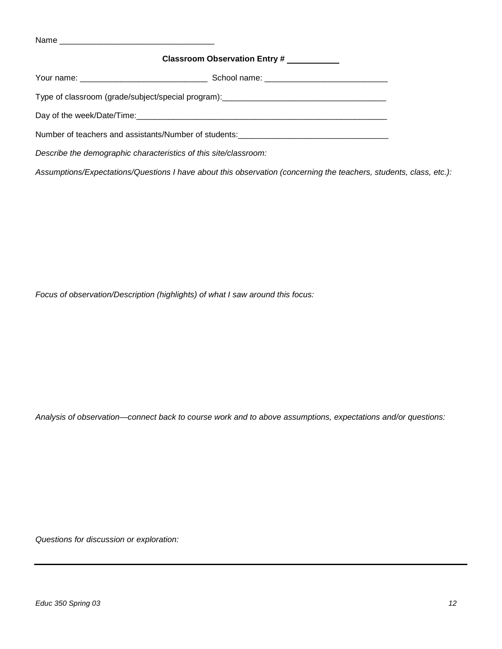|                                                                  | Classroom Observation Entry #                                                    |
|------------------------------------------------------------------|----------------------------------------------------------------------------------|
|                                                                  |                                                                                  |
|                                                                  |                                                                                  |
|                                                                  |                                                                                  |
|                                                                  | Number of teachers and assistants/Number of students:___________________________ |
| Describe the demographic characteristics of this site/classroom: |                                                                                  |

Assumptions/Expectations/Questions I have about this observation (concerning the teachers, students, class, etc.):

*Focus of observation/Description (highlights) of what I saw around this focus:* 

*Analysis of observation—connect back to course work and to above assumptions, expectations and/or questions:* 

*Questions for discussion or exploration:*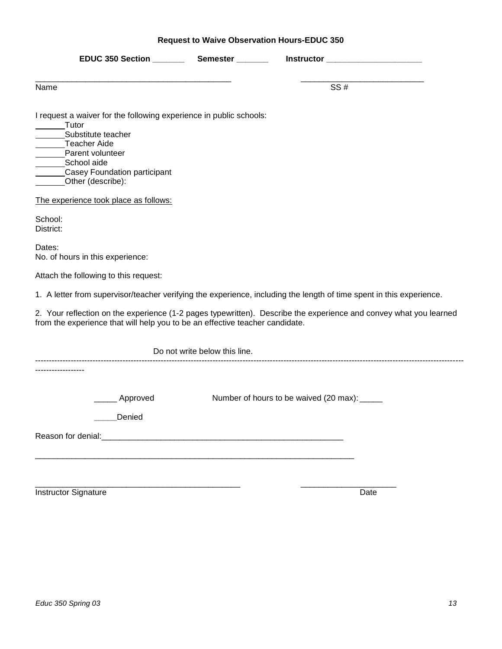|  |  |  | <b>Request to Waive Observation Hours-EDUC 350</b> |
|--|--|--|----------------------------------------------------|
|--|--|--|----------------------------------------------------|

|                                                                                                                                                                                                           |                               | Instructor _______________________                                                                                   |
|-----------------------------------------------------------------------------------------------------------------------------------------------------------------------------------------------------------|-------------------------------|----------------------------------------------------------------------------------------------------------------------|
| Name                                                                                                                                                                                                      |                               | SS#                                                                                                                  |
| I request a waiver for the following experience in public schools:<br>Tutor<br>Substitute teacher<br>Teacher Aide<br>Parent volunteer<br>School aide<br>Casey Foundation participant<br>Other (describe): |                               |                                                                                                                      |
| The experience took place as follows:                                                                                                                                                                     |                               |                                                                                                                      |
| School:<br>District:                                                                                                                                                                                      |                               |                                                                                                                      |
| Dates:<br>No. of hours in this experience:                                                                                                                                                                |                               |                                                                                                                      |
| Attach the following to this request:                                                                                                                                                                     |                               |                                                                                                                      |
|                                                                                                                                                                                                           |                               | 1. A letter from supervisor/teacher verifying the experience, including the length of time spent in this experience. |
| from the experience that will help you to be an effective teacher candidate.                                                                                                                              |                               | 2. Your reflection on the experience (1-2 pages typewritten). Describe the experience and convey what you learned    |
|                                                                                                                                                                                                           | Do not write below this line. |                                                                                                                      |
|                                                                                                                                                                                                           |                               |                                                                                                                      |
| Approved<br>Denied                                                                                                                                                                                        |                               | Number of hours to be waived (20 max): _____                                                                         |
| Reason for denial:                                                                                                                                                                                        |                               |                                                                                                                      |
|                                                                                                                                                                                                           |                               |                                                                                                                      |
| <b>Instructor Signature</b>                                                                                                                                                                               |                               | Date                                                                                                                 |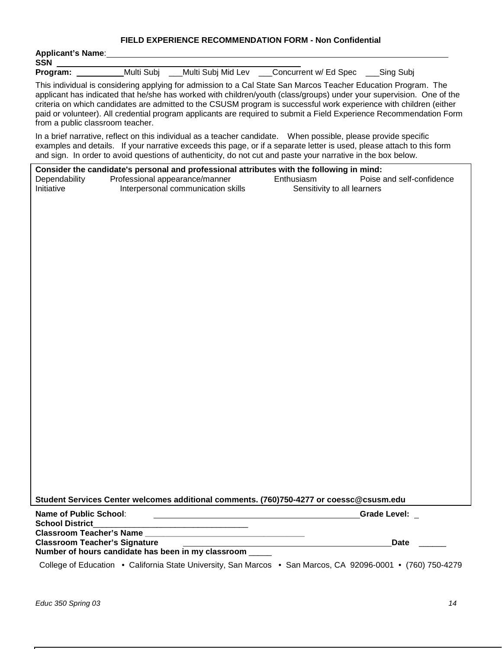## **FIELD EXPERIENCE RECOMMENDATION FORM - Non Confidential**

| <b>Applicant's Name:</b><br><b>SSN</b> |                                                                      |                    |                                                                                                                                                                                                                                                                                                                                                                                                                                                                                     |                           |
|----------------------------------------|----------------------------------------------------------------------|--------------------|-------------------------------------------------------------------------------------------------------------------------------------------------------------------------------------------------------------------------------------------------------------------------------------------------------------------------------------------------------------------------------------------------------------------------------------------------------------------------------------|---------------------------|
| Program: __                            | Multi Subj                                                           | Multi Subj Mid Lev | Concurrent w/ Ed Spec                                                                                                                                                                                                                                                                                                                                                                                                                                                               | _Sing Subj                |
| from a public classroom teacher.       |                                                                      |                    | This individual is considering applying for admission to a Cal State San Marcos Teacher Education Program. The<br>applicant has indicated that he/she has worked with children/youth (class/groups) under your supervision. One of the<br>criteria on which candidates are admitted to the CSUSM program is successful work experience with children (either<br>paid or volunteer). All credential program applicants are required to submit a Field Experience Recommendation Form |                           |
|                                        |                                                                      |                    | In a brief narrative, reflect on this individual as a teacher candidate. When possible, please provide specific<br>examples and details. If your narrative exceeds this page, or if a separate letter is used, please attach to this form<br>and sign. In order to avoid questions of authenticity, do not cut and paste your narrative in the box below.                                                                                                                           |                           |
| Dependability<br>Initiative            | Professional appearance/manner<br>Interpersonal communication skills |                    | Consider the candidate's personal and professional attributes with the following in mind:<br>Enthusiasm<br>Sensitivity to all learners                                                                                                                                                                                                                                                                                                                                              | Poise and self-confidence |
|                                        |                                                                      |                    | Student Services Center welcomes additional comments. (760)750-4277 or coessc@csusm.edu                                                                                                                                                                                                                                                                                                                                                                                             |                           |
| <b>Name of Public School:</b>          |                                                                      |                    |                                                                                                                                                                                                                                                                                                                                                                                                                                                                                     | <b>Grade Level:</b>       |
| <b>School District</b>                 |                                                                      |                    |                                                                                                                                                                                                                                                                                                                                                                                                                                                                                     |                           |
| <b>Classroom Teacher's Name</b>        |                                                                      |                    |                                                                                                                                                                                                                                                                                                                                                                                                                                                                                     |                           |
| <b>Classroom Teacher's Signature</b>   | Number of hours candidate has been in my classroom _____             |                    |                                                                                                                                                                                                                                                                                                                                                                                                                                                                                     | Date                      |
|                                        |                                                                      |                    | College of Education • California State University, San Marcos • San Marcos, CA 92096-0001 • (760) 750-4279                                                                                                                                                                                                                                                                                                                                                                         |                           |